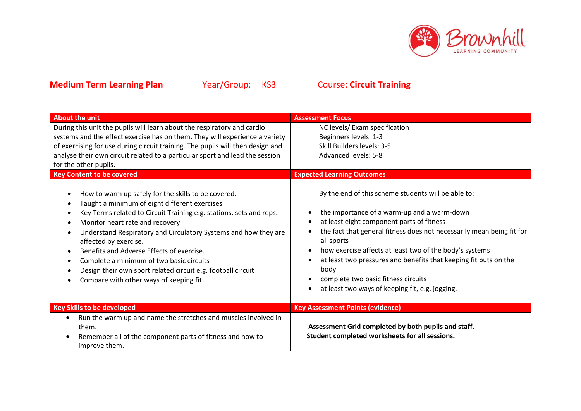

| <b>About the unit</b>                                                                                                                                                                                                                                                                                                                                                                                                                                                                                                                    | <b>Assessment Focus</b>                                                                                                                                                                                                                                                                                                                                                                                                                                                 |
|------------------------------------------------------------------------------------------------------------------------------------------------------------------------------------------------------------------------------------------------------------------------------------------------------------------------------------------------------------------------------------------------------------------------------------------------------------------------------------------------------------------------------------------|-------------------------------------------------------------------------------------------------------------------------------------------------------------------------------------------------------------------------------------------------------------------------------------------------------------------------------------------------------------------------------------------------------------------------------------------------------------------------|
| During this unit the pupils will learn about the respiratory and cardio<br>systems and the effect exercise has on them. They will experience a variety                                                                                                                                                                                                                                                                                                                                                                                   | NC levels/ Exam specification<br>Beginners levels: 1-3                                                                                                                                                                                                                                                                                                                                                                                                                  |
| of exercising for use during circuit training. The pupils will then design and                                                                                                                                                                                                                                                                                                                                                                                                                                                           | Skill Builders levels: 3-5                                                                                                                                                                                                                                                                                                                                                                                                                                              |
| analyse their own circuit related to a particular sport and lead the session                                                                                                                                                                                                                                                                                                                                                                                                                                                             | <b>Advanced levels: 5-8</b>                                                                                                                                                                                                                                                                                                                                                                                                                                             |
| for the other pupils.                                                                                                                                                                                                                                                                                                                                                                                                                                                                                                                    |                                                                                                                                                                                                                                                                                                                                                                                                                                                                         |
| <b>Key Content to be covered</b>                                                                                                                                                                                                                                                                                                                                                                                                                                                                                                         | <b>Expected Learning Outcomes</b>                                                                                                                                                                                                                                                                                                                                                                                                                                       |
| How to warm up safely for the skills to be covered.<br>Taught a minimum of eight different exercises<br>Key Terms related to Circuit Training e.g. stations, sets and reps.<br>$\bullet$<br>Monitor heart rate and recovery<br>Understand Respiratory and Circulatory Systems and how they are<br>affected by exercise.<br>Benefits and Adverse Effects of exercise.<br>Complete a minimum of two basic circuits<br>$\bullet$<br>Design their own sport related circuit e.g. football circuit<br>Compare with other ways of keeping fit. | By the end of this scheme students will be able to:<br>the importance of a warm-up and a warm-down<br>at least eight component parts of fitness<br>the fact that general fitness does not necessarily mean being fit for<br>all sports<br>how exercise affects at least two of the body's systems<br>at least two pressures and benefits that keeping fit puts on the<br>body<br>complete two basic fitness circuits<br>at least two ways of keeping fit, e.g. jogging. |
| <b>Key Skills to be developed</b>                                                                                                                                                                                                                                                                                                                                                                                                                                                                                                        | <b>Key Assessment Points (evidence)</b>                                                                                                                                                                                                                                                                                                                                                                                                                                 |
| Run the warm up and name the stretches and muscles involved in<br>them.<br>Remember all of the component parts of fitness and how to<br>improve them.                                                                                                                                                                                                                                                                                                                                                                                    | Assessment Grid completed by both pupils and staff.<br>Student completed worksheets for all sessions.                                                                                                                                                                                                                                                                                                                                                                   |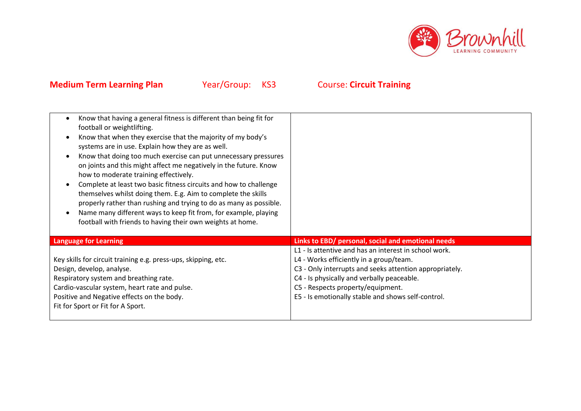

| Know that having a general fitness is different than being fit for<br>football or weightlifting.<br>Know that when they exercise that the majority of my body's<br>systems are in use. Explain how they are as well.<br>Know that doing too much exercise can put unnecessary pressures<br>on joints and this might affect me negatively in the future. Know<br>how to moderate training effectively.<br>Complete at least two basic fitness circuits and how to challenge<br>themselves whilst doing them. E.g. Aim to complete the skills<br>properly rather than rushing and trying to do as many as possible.<br>Name many different ways to keep fit from, for example, playing<br>football with friends to having their own weights at home. |                                                                                                                                                                                                                                                                                                      |
|----------------------------------------------------------------------------------------------------------------------------------------------------------------------------------------------------------------------------------------------------------------------------------------------------------------------------------------------------------------------------------------------------------------------------------------------------------------------------------------------------------------------------------------------------------------------------------------------------------------------------------------------------------------------------------------------------------------------------------------------------|------------------------------------------------------------------------------------------------------------------------------------------------------------------------------------------------------------------------------------------------------------------------------------------------------|
| <b>Language for Learning</b>                                                                                                                                                                                                                                                                                                                                                                                                                                                                                                                                                                                                                                                                                                                       | Links to EBD/ personal, social and emotional needs                                                                                                                                                                                                                                                   |
| Key skills for circuit training e.g. press-ups, skipping, etc.<br>Design, develop, analyse.<br>Respiratory system and breathing rate.<br>Cardio-vascular system, heart rate and pulse.<br>Positive and Negative effects on the body.<br>Fit for Sport or Fit for A Sport.                                                                                                                                                                                                                                                                                                                                                                                                                                                                          | L1 - Is attentive and has an interest in school work.<br>L4 - Works efficiently in a group/team.<br>C3 - Only interrupts and seeks attention appropriately.<br>C4 - Is physically and verbally peaceable.<br>C5 - Respects property/equipment.<br>E5 - Is emotionally stable and shows self-control. |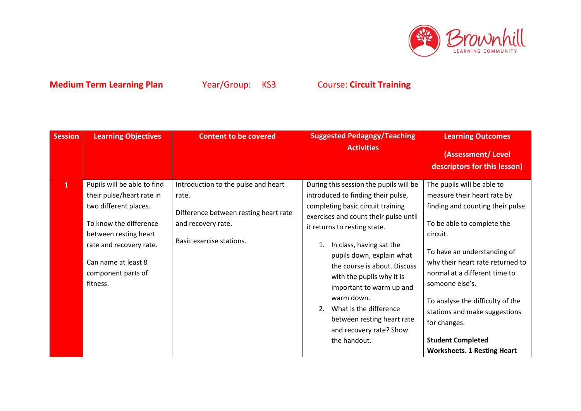

| <b>Session</b> | <b>Learning Objectives</b>                                                                                                                                                                                               | <b>Content to be covered</b>                                                                                                            | <b>Suggested Pedagogy/Teaching</b><br><b>Activities</b>                                                                                                                                                                                                                                                                                                                                                                                                             | <b>Learning Outcomes</b><br>(Assessment/Level<br>descriptors for this lesson)                                                                                                                                                                                                                                                                                                                                          |
|----------------|--------------------------------------------------------------------------------------------------------------------------------------------------------------------------------------------------------------------------|-----------------------------------------------------------------------------------------------------------------------------------------|---------------------------------------------------------------------------------------------------------------------------------------------------------------------------------------------------------------------------------------------------------------------------------------------------------------------------------------------------------------------------------------------------------------------------------------------------------------------|------------------------------------------------------------------------------------------------------------------------------------------------------------------------------------------------------------------------------------------------------------------------------------------------------------------------------------------------------------------------------------------------------------------------|
| $\mathbf{1}$   | Pupils will be able to find<br>their pulse/heart rate in<br>two different places.<br>To know the difference<br>between resting heart<br>rate and recovery rate.<br>Can name at least 8<br>component parts of<br>fitness. | Introduction to the pulse and heart<br>rate.<br>Difference between resting heart rate<br>and recovery rate.<br>Basic exercise stations. | During this session the pupils will be<br>introduced to finding their pulse,<br>completing basic circuit training<br>exercises and count their pulse until<br>it returns to resting state.<br>In class, having sat the<br>pupils down, explain what<br>the course is about. Discuss<br>with the pupils why it is<br>important to warm up and<br>warm down.<br>What is the difference<br>2.<br>between resting heart rate<br>and recovery rate? Show<br>the handout. | The pupils will be able to<br>measure their heart rate by<br>finding and counting their pulse.<br>To be able to complete the<br>circuit.<br>To have an understanding of<br>why their heart rate returned to<br>normal at a different time to<br>someone else's.<br>To analyse the difficulty of the<br>stations and make suggestions<br>for changes.<br><b>Student Completed</b><br><b>Worksheets. 1 Resting Heart</b> |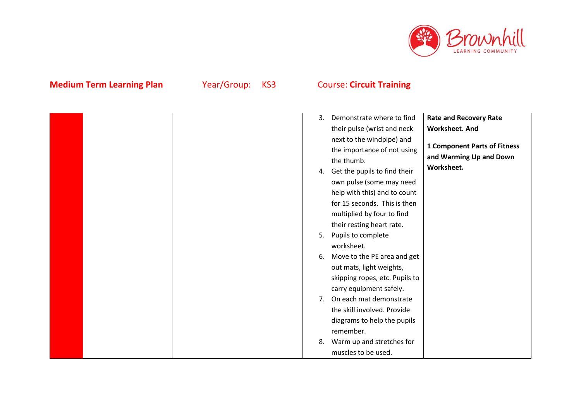

|  | 3. | Demonstrate where to find       | <b>Rate and Recovery Rate</b>       |
|--|----|---------------------------------|-------------------------------------|
|  |    | their pulse (wrist and neck     | <b>Worksheet. And</b>               |
|  |    | next to the windpipe) and       |                                     |
|  |    | the importance of not using     | <b>1 Component Parts of Fitness</b> |
|  |    | the thumb.                      | and Warming Up and Down             |
|  |    | 4. Get the pupils to find their | Worksheet.                          |
|  |    | own pulse (some may need        |                                     |
|  |    | help with this) and to count    |                                     |
|  |    | for 15 seconds. This is then    |                                     |
|  |    | multiplied by four to find      |                                     |
|  |    | their resting heart rate.       |                                     |
|  |    | 5. Pupils to complete           |                                     |
|  |    | worksheet.                      |                                     |
|  |    | 6. Move to the PE area and get  |                                     |
|  |    | out mats, light weights,        |                                     |
|  |    | skipping ropes, etc. Pupils to  |                                     |
|  |    | carry equipment safely.         |                                     |
|  |    | 7. On each mat demonstrate      |                                     |
|  |    | the skill involved. Provide     |                                     |
|  |    | diagrams to help the pupils     |                                     |
|  |    | remember.                       |                                     |
|  | 8. | Warm up and stretches for       |                                     |
|  |    | muscles to be used.             |                                     |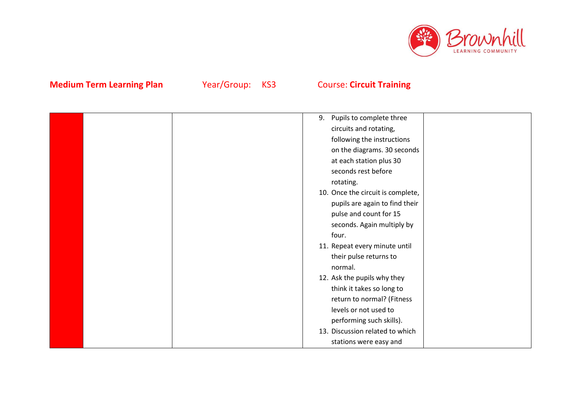

|  | Pupils to complete three<br>9.    |
|--|-----------------------------------|
|  | circuits and rotating,            |
|  | following the instructions        |
|  | on the diagrams. 30 seconds       |
|  | at each station plus 30           |
|  | seconds rest before               |
|  | rotating.                         |
|  | 10. Once the circuit is complete, |
|  | pupils are again to find their    |
|  | pulse and count for 15            |
|  | seconds. Again multiply by        |
|  | four.                             |
|  | 11. Repeat every minute until     |
|  | their pulse returns to            |
|  | normal.                           |
|  | 12. Ask the pupils why they       |
|  | think it takes so long to         |
|  | return to normal? (Fitness        |
|  | levels or not used to             |
|  | performing such skills).          |
|  | 13. Discussion related to which   |
|  | stations were easy and            |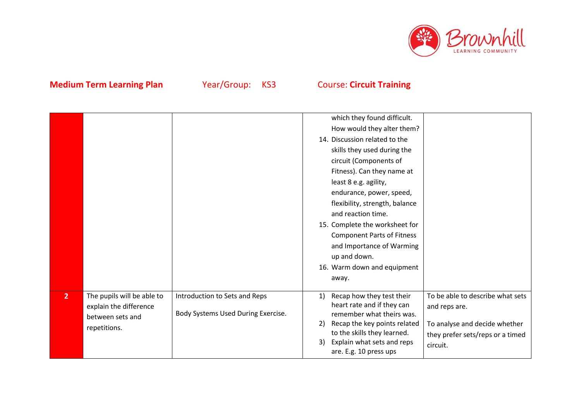

|                |                            |                                    | which they found difficult.                             |                                  |
|----------------|----------------------------|------------------------------------|---------------------------------------------------------|----------------------------------|
|                |                            |                                    | How would they alter them?                              |                                  |
|                |                            |                                    | 14. Discussion related to the                           |                                  |
|                |                            |                                    | skills they used during the                             |                                  |
|                |                            |                                    | circuit (Components of                                  |                                  |
|                |                            |                                    | Fitness). Can they name at                              |                                  |
|                |                            |                                    | least 8 e.g. agility,                                   |                                  |
|                |                            |                                    | endurance, power, speed,                                |                                  |
|                |                            |                                    | flexibility, strength, balance                          |                                  |
|                |                            |                                    | and reaction time.                                      |                                  |
|                |                            |                                    | 15. Complete the worksheet for                          |                                  |
|                |                            |                                    | <b>Component Parts of Fitness</b>                       |                                  |
|                |                            |                                    | and Importance of Warming                               |                                  |
|                |                            |                                    | up and down.                                            |                                  |
|                |                            |                                    | 16. Warm down and equipment                             |                                  |
|                |                            |                                    | away.                                                   |                                  |
|                |                            |                                    |                                                         |                                  |
| $\overline{2}$ | The pupils will be able to | Introduction to Sets and Reps      | Recap how they test their<br>1)                         | To be able to describe what sets |
|                | explain the difference     | Body Systems Used During Exercise. | heart rate and if they can<br>remember what theirs was. | and reps are.                    |
|                | between sets and           |                                    | Recap the key points related<br>2)                      | To analyse and decide whether    |
|                | repetitions.               |                                    | to the skills they learned.                             | they prefer sets/reps or a timed |
|                |                            |                                    | Explain what sets and reps<br>3)                        | circuit.                         |
|                |                            |                                    | are. E.g. 10 press ups                                  |                                  |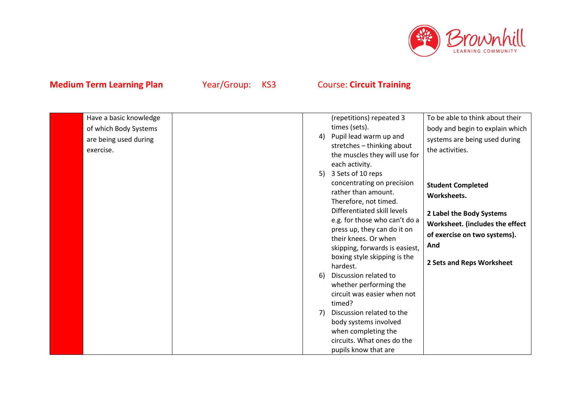

| Have a basic knowledge<br>of which Body Systems<br>are being used during<br>exercise. | 4)                        | (repetitions) repeated 3<br>times (sets).<br>Pupil lead warm up and<br>stretches - thinking about<br>the muscles they will use for<br>each activity.                                                                                                                                                                                                                                                                                                                                                                                | To be able to think about their<br>body and begin to explain which<br>systems are being used during<br>the activities.                                                     |
|---------------------------------------------------------------------------------------|---------------------------|-------------------------------------------------------------------------------------------------------------------------------------------------------------------------------------------------------------------------------------------------------------------------------------------------------------------------------------------------------------------------------------------------------------------------------------------------------------------------------------------------------------------------------------|----------------------------------------------------------------------------------------------------------------------------------------------------------------------------|
|                                                                                       | 5)<br><sup>6)</sup><br>7) | 3 Sets of 10 reps<br>concentrating on precision<br>rather than amount.<br>Therefore, not timed.<br>Differentiated skill levels<br>e.g. for those who can't do a<br>press up, they can do it on<br>their knees. Or when<br>skipping, forwards is easiest,<br>boxing style skipping is the<br>hardest.<br>Discussion related to<br>whether performing the<br>circuit was easier when not<br>timed?<br>Discussion related to the<br>body systems involved<br>when completing the<br>circuits. What ones do the<br>pupils know that are | <b>Student Completed</b><br>Worksheets.<br>2 Label the Body Systems<br>Worksheet. (includes the effect<br>of exercise on two systems).<br>And<br>2 Sets and Reps Worksheet |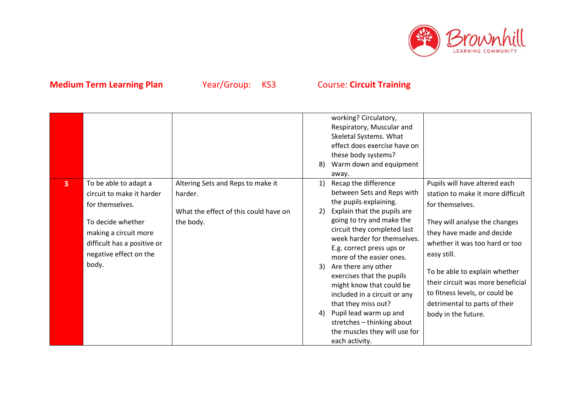

|                |                                                                                                                                                                                       |                                                                                                    | 8)                   | working? Circulatory,<br>Respiratory, Muscular and<br>Skeletal Systems. What<br>effect does exercise have on<br>these body systems?<br>Warm down and equipment<br>away.                                                                                                                                                                                                                                                                                                                                           |                                                                                                                                                                                                                                                                                                                                                                      |
|----------------|---------------------------------------------------------------------------------------------------------------------------------------------------------------------------------------|----------------------------------------------------------------------------------------------------|----------------------|-------------------------------------------------------------------------------------------------------------------------------------------------------------------------------------------------------------------------------------------------------------------------------------------------------------------------------------------------------------------------------------------------------------------------------------------------------------------------------------------------------------------|----------------------------------------------------------------------------------------------------------------------------------------------------------------------------------------------------------------------------------------------------------------------------------------------------------------------------------------------------------------------|
| $\overline{3}$ | To be able to adapt a<br>circuit to make it harder<br>for themselves.<br>To decide whether<br>making a circuit more<br>difficult has a positive or<br>negative effect on the<br>body. | Altering Sets and Reps to make it<br>harder.<br>What the effect of this could have on<br>the body. | 1)<br>2)<br>3)<br>4) | Recap the difference<br>between Sets and Reps with<br>the pupils explaining.<br>Explain that the pupils are<br>going to try and make the<br>circuit they completed last<br>week harder for themselves.<br>E.g. correct press ups or<br>more of the easier ones.<br>Are there any other<br>exercises that the pupils<br>might know that could be<br>included in a circuit or any<br>that they miss out?<br>Pupil lead warm up and<br>stretches - thinking about<br>the muscles they will use for<br>each activity. | Pupils will have altered each<br>station to make it more difficult<br>for themselves.<br>They will analyse the changes<br>they have made and decide<br>whether it was too hard or too<br>easy still.<br>To be able to explain whether<br>their circuit was more beneficial<br>to fitness levels, or could be<br>detrimental to parts of their<br>body in the future. |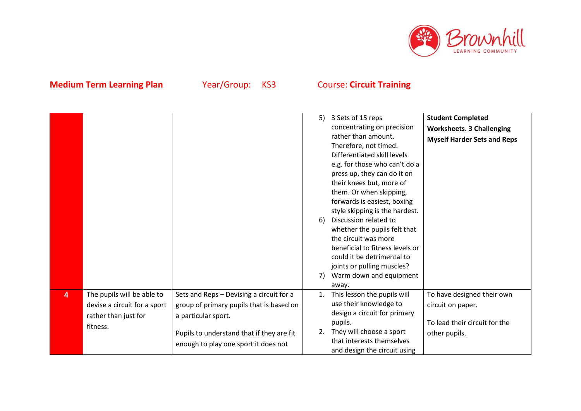

|   |                                                                                                |                                                                                                                                                                                                  | 5)<br>6)<br>7) | 3 Sets of 15 reps<br>concentrating on precision<br>rather than amount.<br>Therefore, not timed.<br>Differentiated skill levels<br>e.g. for those who can't do a<br>press up, they can do it on<br>their knees but, more of<br>them. Or when skipping,<br>forwards is easiest, boxing<br>style skipping is the hardest.<br>Discussion related to<br>whether the pupils felt that<br>the circuit was more<br>beneficial to fitness levels or<br>could it be detrimental to<br>joints or pulling muscles?<br>Warm down and equipment<br>away. | <b>Student Completed</b><br><b>Worksheets. 3 Challenging</b><br><b>Myself Harder Sets and Reps</b> |
|---|------------------------------------------------------------------------------------------------|--------------------------------------------------------------------------------------------------------------------------------------------------------------------------------------------------|----------------|--------------------------------------------------------------------------------------------------------------------------------------------------------------------------------------------------------------------------------------------------------------------------------------------------------------------------------------------------------------------------------------------------------------------------------------------------------------------------------------------------------------------------------------------|----------------------------------------------------------------------------------------------------|
| 4 | The pupils will be able to<br>devise a circuit for a sport<br>rather than just for<br>fitness. | Sets and Reps - Devising a circuit for a<br>group of primary pupils that is based on<br>a particular sport.<br>Pupils to understand that if they are fit<br>enough to play one sport it does not | 1.<br>2.       | This lesson the pupils will<br>use their knowledge to<br>design a circuit for primary<br>pupils.<br>They will choose a sport<br>that interests themselves<br>and design the circuit using                                                                                                                                                                                                                                                                                                                                                  | To have designed their own<br>circuit on paper.<br>To lead their circuit for the<br>other pupils.  |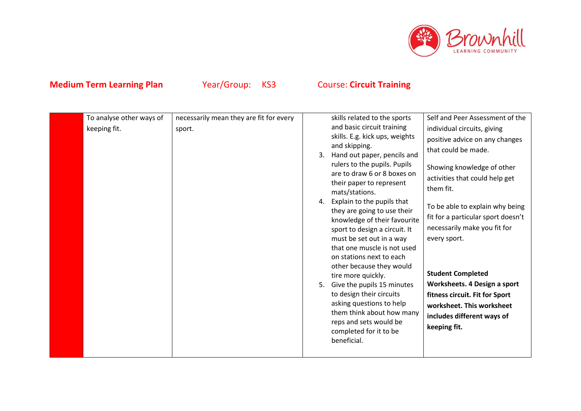

| keeping fit.<br>completed for it to be<br>beneficial. |
|-------------------------------------------------------|
|-------------------------------------------------------|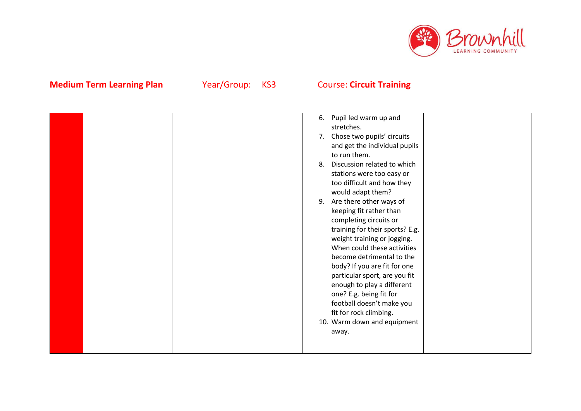

|  | 6. | Pupil led warm up and           |  |
|--|----|---------------------------------|--|
|  |    | stretches.                      |  |
|  |    | 7. Chose two pupils' circuits   |  |
|  |    | and get the individual pupils   |  |
|  |    | to run them.                    |  |
|  | 8. | Discussion related to which     |  |
|  |    | stations were too easy or       |  |
|  |    | too difficult and how they      |  |
|  |    | would adapt them?               |  |
|  | 9. | Are there other ways of         |  |
|  |    | keeping fit rather than         |  |
|  |    | completing circuits or          |  |
|  |    | training for their sports? E.g. |  |
|  |    | weight training or jogging.     |  |
|  |    | When could these activities     |  |
|  |    | become detrimental to the       |  |
|  |    | body? If you are fit for one    |  |
|  |    | particular sport, are you fit   |  |
|  |    | enough to play a different      |  |
|  |    | one? E.g. being fit for         |  |
|  |    | football doesn't make you       |  |
|  |    | fit for rock climbing.          |  |
|  |    | 10. Warm down and equipment     |  |
|  |    | away.                           |  |
|  |    |                                 |  |
|  |    |                                 |  |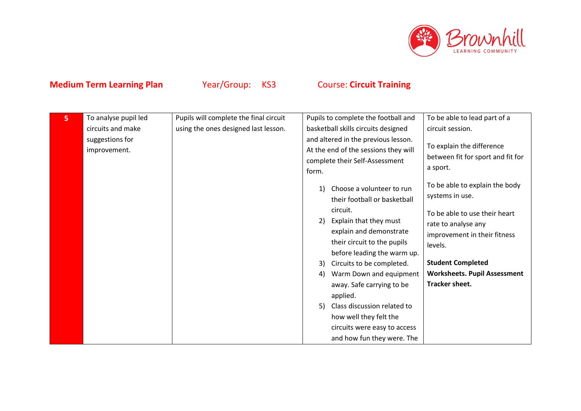

| 5 | To analyse pupil led            | Pupils will complete the final circuit | Pupils to complete the football and                                                                                              | To be able to lead part of a                                                                              |
|---|---------------------------------|----------------------------------------|----------------------------------------------------------------------------------------------------------------------------------|-----------------------------------------------------------------------------------------------------------|
|   | circuits and make               | using the ones designed last lesson.   | basketball skills circuits designed                                                                                              | circuit session.                                                                                          |
|   | suggestions for<br>improvement. |                                        | and altered in the previous lesson.<br>At the end of the sessions they will<br>complete their Self-Assessment<br>form.           | To explain the difference<br>between fit for sport and fit for<br>a sport.                                |
|   |                                 |                                        | Choose a volunteer to run<br>their football or basketball<br>circuit.<br>Explain that they must<br>2)<br>explain and demonstrate | To be able to explain the body<br>systems in use.<br>To be able to use their heart<br>rate to analyse any |
|   |                                 |                                        | their circuit to the pupils<br>before leading the warm up.                                                                       | improvement in their fitness<br>levels.                                                                   |
|   |                                 |                                        | Circuits to be completed.<br>3)                                                                                                  | <b>Student Completed</b>                                                                                  |
|   |                                 |                                        | Warm Down and equipment<br>4)<br>away. Safe carrying to be<br>applied.                                                           | <b>Worksheets. Pupil Assessment</b><br>Tracker sheet.                                                     |
|   |                                 |                                        | Class discussion related to<br>5)                                                                                                |                                                                                                           |
|   |                                 |                                        | how well they felt the                                                                                                           |                                                                                                           |
|   |                                 |                                        | circuits were easy to access                                                                                                     |                                                                                                           |
|   |                                 |                                        | and how fun they were. The                                                                                                       |                                                                                                           |